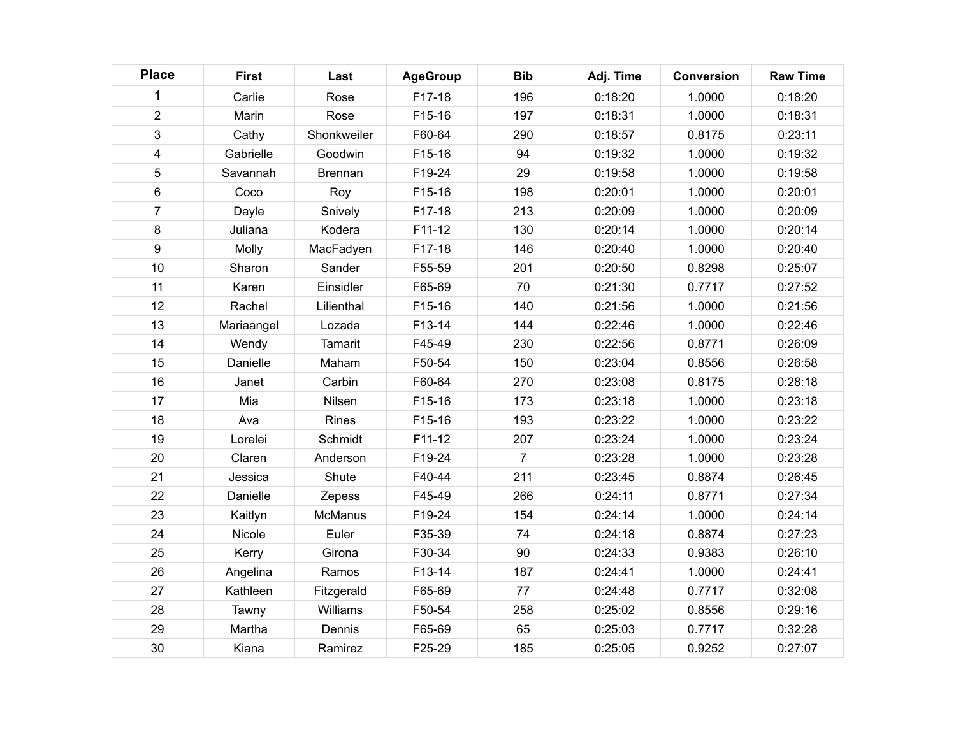| <b>Place</b>   | <b>First</b> | Last           | <b>AgeGroup</b> | <b>Bib</b>     | Adj. Time | <b>Conversion</b> | <b>Raw Time</b> |
|----------------|--------------|----------------|-----------------|----------------|-----------|-------------------|-----------------|
|                | Carlie       | Rose           | F17-18          | 196            | 0:18:20   | 1.0000            | 0:18:20         |
| $\overline{2}$ | Marin        | Rose           | F15-16          | 197            | 0:18:31   | 1.0000            | 0:18:31         |
| 3              | Cathy        | Shonkweiler    | F60-64          | 290            | 0:18:57   | 0.8175            | 0:23:11         |
| 4              | Gabrielle    | Goodwin        | F15-16          | 94             | 0:19:32   | 1.0000            | 0:19:32         |
| 5              | Savannah     | <b>Brennan</b> | F19-24          | 29             | 0:19:58   | 1.0000            | 0:19:58         |
| 6              | Coco         | Roy            | F15-16          | 198            | 0:20:01   | 1.0000            | 0:20:01         |
| $\overline{7}$ | Dayle        | Snively        | F17-18          | 213            | 0:20:09   | 1.0000            | 0:20:09         |
| 8              | Juliana      | Kodera         | F11-12          | 130            | 0:20:14   | 1.0000            | 0:20:14         |
| 9              | Molly        | MacFadyen      | F17-18          | 146            | 0:20:40   | 1.0000            | 0:20:40         |
| 10             | Sharon       | Sander         | F55-59          | 201            | 0:20:50   | 0.8298            | 0:25:07         |
| 11             | Karen        | Einsidler      | F65-69          | 70             | 0:21:30   | 0.7717            | 0:27:52         |
| 12             | Rachel       | Lilienthal     | F15-16          | 140            | 0:21:56   | 1.0000            | 0:21:56         |
| 13             | Mariaangel   | Lozada         | F13-14          | 144            | 0:22:46   | 1.0000            | 0:22:46         |
| 14             | Wendy        | Tamarit        | F45-49          | 230            | 0:22:56   | 0.8771            | 0:26:09         |
| 15             | Danielle     | Maham          | F50-54          | 150            | 0:23:04   | 0.8556            | 0:26:58         |
| 16             | Janet        | Carbin         | F60-64          | 270            | 0:23:08   | 0.8175            | 0:28:18         |
| 17             | Mia          | Nilsen         | F15-16          | 173            | 0:23:18   | 1.0000            | 0:23:18         |
| 18             | Ava          | Rines          | F15-16          | 193            | 0:23:22   | 1.0000            | 0:23:22         |
| 19             | Lorelei      | Schmidt        | F11-12          | 207            | 0:23:24   | 1.0000            | 0:23:24         |
| 20             | Claren       | Anderson       | F19-24          | $\overline{7}$ | 0:23:28   | 1.0000            | 0:23:28         |
| 21             | Jessica      | Shute          | F40-44          | 211            | 0:23:45   | 0.8874            | 0:26:45         |
| 22             | Danielle     | Zepess         | F45-49          | 266            | 0:24:11   | 0.8771            | 0:27:34         |
| 23             | Kaitlyn      | <b>McManus</b> | F19-24          | 154            | 0:24:14   | 1.0000            | 0:24:14         |
| 24             | Nicole       | Euler          | F35-39          | 74             | 0:24:18   | 0.8874            | 0:27:23         |
| 25             | Kerry        | Girona         | F30-34          | 90             | 0:24:33   | 0.9383            | 0:26:10         |
| 26             | Angelina     | Ramos          | F13-14          | 187            | 0:24:41   | 1.0000            | 0:24:41         |
| 27             | Kathleen     | Fitzgerald     | F65-69          | 77             | 0:24:48   | 0.7717            | 0:32:08         |
| 28             | Tawny        | Williams       | F50-54          | 258            | 0:25:02   | 0.8556            | 0:29:16         |
| 29             | Martha       | Dennis         | F65-69          | 65             | 0:25:03   | 0.7717            | 0:32:28         |
| 30             | Kiana        | Ramirez        | F25-29          | 185            | 0:25:05   | 0.9252            | 0:27:07         |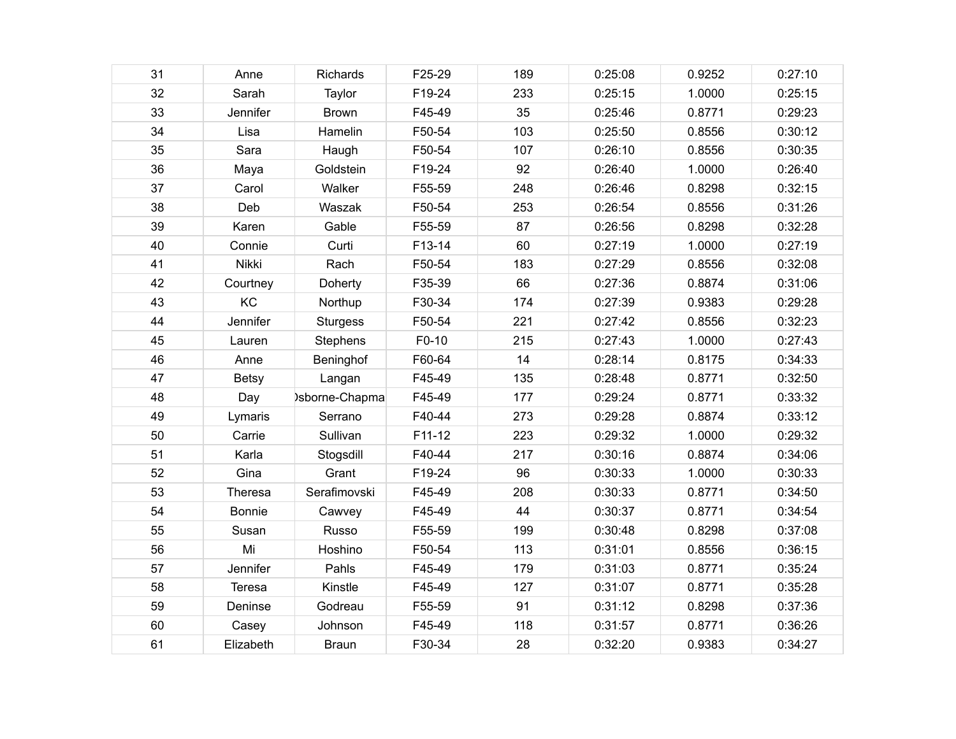| 31 | Anne          | Richards        | F25-29 | 189 | 0:25:08 | 0.9252 | 0:27:10 |
|----|---------------|-----------------|--------|-----|---------|--------|---------|
| 32 | Sarah         | Taylor          | F19-24 | 233 | 0:25:15 | 1.0000 | 0:25:15 |
| 33 | Jennifer      | <b>Brown</b>    | F45-49 | 35  | 0:25:46 | 0.8771 | 0:29:23 |
| 34 | Lisa          | Hamelin         | F50-54 | 103 | 0:25:50 | 0.8556 | 0:30:12 |
| 35 | Sara          | Haugh           | F50-54 | 107 | 0:26:10 | 0.8556 | 0:30:35 |
| 36 | Maya          | Goldstein       | F19-24 | 92  | 0:26:40 | 1.0000 | 0:26:40 |
| 37 | Carol         | Walker          | F55-59 | 248 | 0:26:46 | 0.8298 | 0:32:15 |
| 38 | Deb           | Waszak          | F50-54 | 253 | 0:26:54 | 0.8556 | 0:31:26 |
| 39 | Karen         | Gable           | F55-59 | 87  | 0:26:56 | 0.8298 | 0:32:28 |
| 40 | Connie        | Curti           | F13-14 | 60  | 0:27:19 | 1.0000 | 0:27:19 |
| 41 | Nikki         | Rach            | F50-54 | 183 | 0:27:29 | 0.8556 | 0:32:08 |
| 42 | Courtney      | Doherty         | F35-39 | 66  | 0:27:36 | 0.8874 | 0:31:06 |
| 43 | KC            | Northup         | F30-34 | 174 | 0:27:39 | 0.9383 | 0:29:28 |
| 44 | Jennifer      | <b>Sturgess</b> | F50-54 | 221 | 0:27:42 | 0.8556 | 0:32:23 |
| 45 | Lauren        | Stephens        | F0-10  | 215 | 0:27:43 | 1.0000 | 0:27:43 |
| 46 | Anne          | Beninghof       | F60-64 | 14  | 0:28:14 | 0.8175 | 0:34:33 |
| 47 | <b>Betsy</b>  | Langan          | F45-49 | 135 | 0:28:48 | 0.8771 | 0:32:50 |
| 48 | Day           | )sborne-Chapma  | F45-49 | 177 | 0:29:24 | 0.8771 | 0:33:32 |
| 49 | Lymaris       | Serrano         | F40-44 | 273 | 0:29:28 | 0.8874 | 0:33:12 |
| 50 | Carrie        | Sullivan        | F11-12 | 223 | 0:29:32 | 1.0000 | 0:29:32 |
| 51 | Karla         | Stogsdill       | F40-44 | 217 | 0:30:16 | 0.8874 | 0:34:06 |
| 52 | Gina          | Grant           | F19-24 | 96  | 0:30:33 | 1.0000 | 0:30:33 |
| 53 | Theresa       | Serafimovski    | F45-49 | 208 | 0:30:33 | 0.8771 | 0:34:50 |
| 54 | <b>Bonnie</b> | Cawvey          | F45-49 | 44  | 0:30:37 | 0.8771 | 0:34:54 |
| 55 | Susan         | Russo           | F55-59 | 199 | 0:30:48 | 0.8298 | 0:37:08 |
| 56 | Mi            | Hoshino         | F50-54 | 113 | 0:31:01 | 0.8556 | 0:36:15 |
| 57 | Jennifer      | Pahls           | F45-49 | 179 | 0:31:03 | 0.8771 | 0:35:24 |
| 58 | Teresa        | Kinstle         | F45-49 | 127 | 0:31:07 | 0.8771 | 0:35:28 |
| 59 | Deninse       | Godreau         | F55-59 | 91  | 0:31:12 | 0.8298 | 0:37:36 |
| 60 | Casey         | Johnson         | F45-49 | 118 | 0:31:57 | 0.8771 | 0:36:26 |
| 61 | Elizabeth     | <b>Braun</b>    | F30-34 | 28  | 0:32:20 | 0.9383 | 0:34:27 |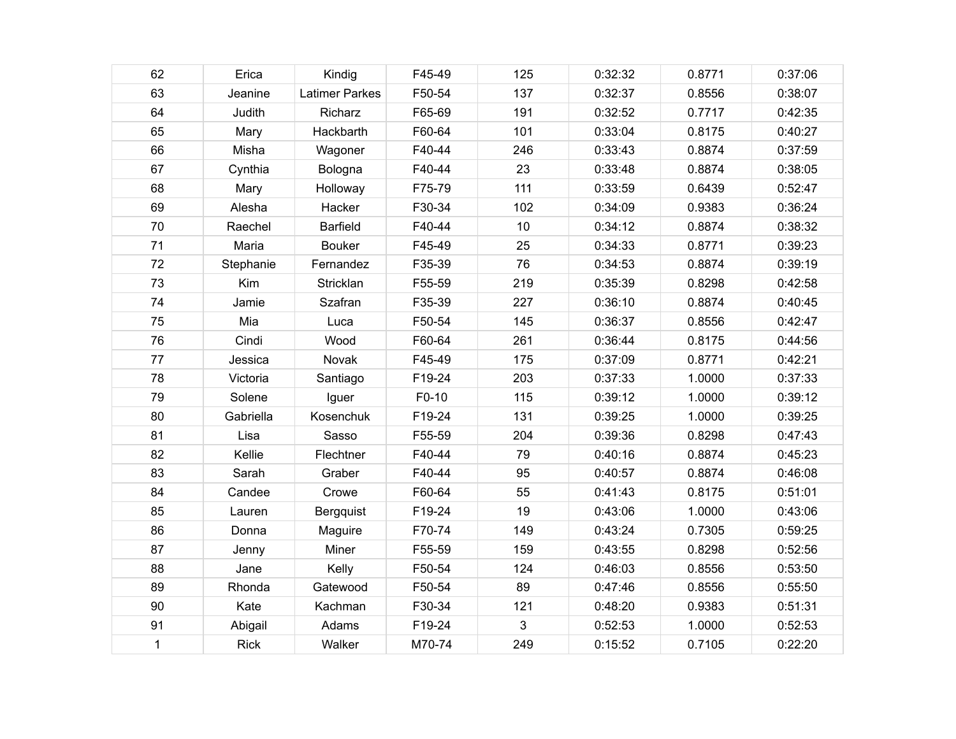| 62          | Erica       | Kindig                | F45-49 | 125 | 0:32:32 | 0.8771 | 0:37:06 |
|-------------|-------------|-----------------------|--------|-----|---------|--------|---------|
| 63          | Jeanine     | <b>Latimer Parkes</b> | F50-54 | 137 | 0:32:37 | 0.8556 | 0:38:07 |
| 64          | Judith      | Richarz               | F65-69 | 191 | 0:32:52 | 0.7717 | 0:42:35 |
| 65          | Mary        | Hackbarth             | F60-64 | 101 | 0:33:04 | 0.8175 | 0:40:27 |
| 66          | Misha       | Wagoner               | F40-44 | 246 | 0:33:43 | 0.8874 | 0:37:59 |
| 67          | Cynthia     | Bologna               | F40-44 | 23  | 0:33:48 | 0.8874 | 0:38:05 |
| 68          | Mary        | Holloway              | F75-79 | 111 | 0:33:59 | 0.6439 | 0:52:47 |
| 69          | Alesha      | Hacker                | F30-34 | 102 | 0:34:09 | 0.9383 | 0:36:24 |
| 70          | Raechel     | <b>Barfield</b>       | F40-44 | 10  | 0:34:12 | 0.8874 | 0:38:32 |
| 71          | Maria       | <b>Bouker</b>         | F45-49 | 25  | 0:34:33 | 0.8771 | 0:39:23 |
| 72          | Stephanie   | Fernandez             | F35-39 | 76  | 0:34:53 | 0.8874 | 0:39:19 |
| 73          | Kim         | Stricklan             | F55-59 | 219 | 0:35:39 | 0.8298 | 0:42:58 |
| 74          | Jamie       | Szafran               | F35-39 | 227 | 0:36:10 | 0.8874 | 0:40:45 |
| 75          | Mia         | Luca                  | F50-54 | 145 | 0:36:37 | 0.8556 | 0:42:47 |
| 76          | Cindi       | Wood                  | F60-64 | 261 | 0:36:44 | 0.8175 | 0:44:56 |
| 77          | Jessica     | Novak                 | F45-49 | 175 | 0:37:09 | 0.8771 | 0:42:21 |
| 78          | Victoria    | Santiago              | F19-24 | 203 | 0:37:33 | 1.0000 | 0:37:33 |
| 79          | Solene      | Iguer                 | F0-10  | 115 | 0:39:12 | 1.0000 | 0:39:12 |
| 80          | Gabriella   | Kosenchuk             | F19-24 | 131 | 0:39:25 | 1.0000 | 0:39:25 |
| 81          | Lisa        | Sasso                 | F55-59 | 204 | 0:39:36 | 0.8298 | 0:47:43 |
| 82          | Kellie      | Flechtner             | F40-44 | 79  | 0:40:16 | 0.8874 | 0:45:23 |
| 83          | Sarah       | Graber                | F40-44 | 95  | 0:40:57 | 0.8874 | 0:46:08 |
| 84          | Candee      | Crowe                 | F60-64 | 55  | 0:41:43 | 0.8175 | 0:51:01 |
| 85          | Lauren      | Bergquist             | F19-24 | 19  | 0:43:06 | 1.0000 | 0:43:06 |
| 86          | Donna       | Maguire               | F70-74 | 149 | 0:43:24 | 0.7305 | 0:59:25 |
| 87          | Jenny       | Miner                 | F55-59 | 159 | 0:43:55 | 0.8298 | 0:52:56 |
| 88          | Jane        | Kelly                 | F50-54 | 124 | 0:46:03 | 0.8556 | 0:53:50 |
| 89          | Rhonda      | Gatewood              | F50-54 | 89  | 0:47:46 | 0.8556 | 0:55:50 |
| 90          | Kate        | Kachman               | F30-34 | 121 | 0:48:20 | 0.9383 | 0:51:31 |
| 91          | Abigail     | Adams                 | F19-24 | 3   | 0:52:53 | 1.0000 | 0:52:53 |
| $\mathbf 1$ | <b>Rick</b> | Walker                | M70-74 | 249 | 0:15:52 | 0.7105 | 0:22:20 |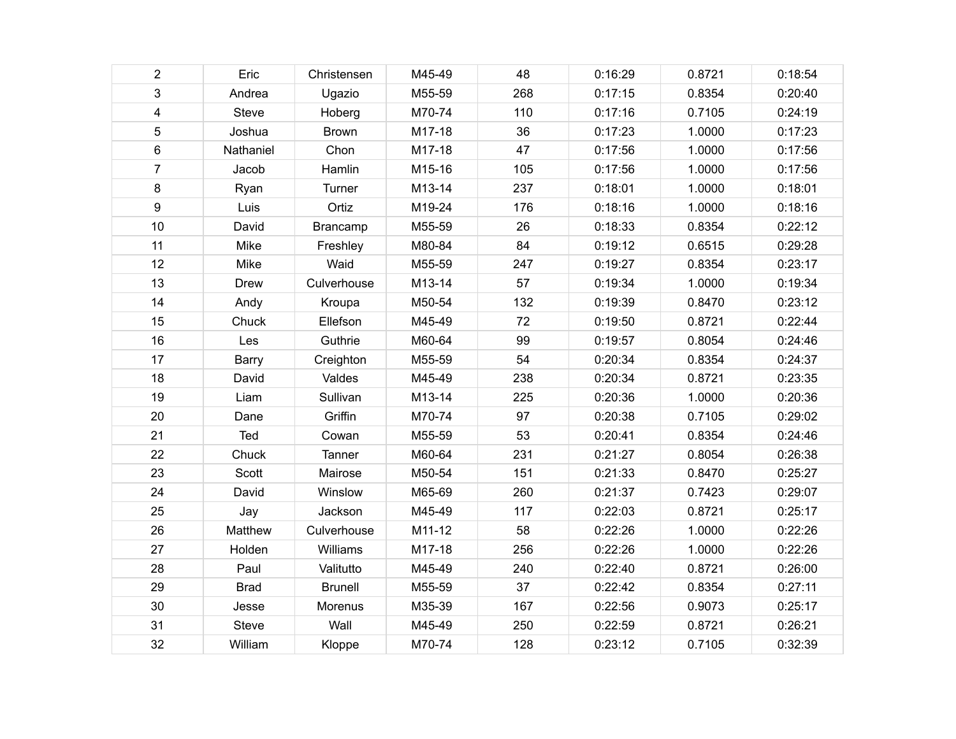| $\overline{2}$          | Eric         | Christensen    | M45-49 | 48  | 0:16:29 | 0.8721 | 0:18:54 |
|-------------------------|--------------|----------------|--------|-----|---------|--------|---------|
| 3                       | Andrea       | Ugazio         | M55-59 | 268 | 0:17:15 | 0.8354 | 0:20:40 |
| $\overline{\mathbf{4}}$ | Steve        | Hoberg         | M70-74 | 110 | 0:17:16 | 0.7105 | 0:24:19 |
| 5                       | Joshua       | <b>Brown</b>   | M17-18 | 36  | 0:17:23 | 1.0000 | 0:17:23 |
| 6                       | Nathaniel    | Chon           | M17-18 | 47  | 0:17:56 | 1.0000 | 0:17:56 |
| $\overline{7}$          | Jacob        | Hamlin         | M15-16 | 105 | 0:17:56 | 1.0000 | 0:17:56 |
| 8                       | Ryan         | Turner         | M13-14 | 237 | 0:18:01 | 1.0000 | 0:18:01 |
| 9                       | Luis         | Ortiz          | M19-24 | 176 | 0:18:16 | 1.0000 | 0:18:16 |
| 10                      | David        | Brancamp       | M55-59 | 26  | 0:18:33 | 0.8354 | 0:22:12 |
| 11                      | Mike         | Freshley       | M80-84 | 84  | 0:19:12 | 0.6515 | 0:29:28 |
| 12                      | Mike         | Waid           | M55-59 | 247 | 0:19:27 | 0.8354 | 0:23:17 |
| 13                      | <b>Drew</b>  | Culverhouse    | M13-14 | 57  | 0:19:34 | 1.0000 | 0:19:34 |
| 14                      | Andy         | Kroupa         | M50-54 | 132 | 0:19:39 | 0.8470 | 0:23:12 |
| 15                      | Chuck        | Ellefson       | M45-49 | 72  | 0:19:50 | 0.8721 | 0:22:44 |
| 16                      | Les          | Guthrie        | M60-64 | 99  | 0:19:57 | 0.8054 | 0:24:46 |
| 17                      | <b>Barry</b> | Creighton      | M55-59 | 54  | 0:20:34 | 0.8354 | 0:24:37 |
| 18                      | David        | Valdes         | M45-49 | 238 | 0:20:34 | 0.8721 | 0:23:35 |
| 19                      | Liam         | Sullivan       | M13-14 | 225 | 0:20:36 | 1.0000 | 0:20:36 |
| 20                      | Dane         | Griffin        | M70-74 | 97  | 0:20:38 | 0.7105 | 0:29:02 |
| 21                      | Ted          | Cowan          | M55-59 | 53  | 0:20:41 | 0.8354 | 0:24:46 |
| 22                      | Chuck        | Tanner         | M60-64 | 231 | 0:21:27 | 0.8054 | 0:26:38 |
| 23                      | Scott        | Mairose        | M50-54 | 151 | 0:21:33 | 0.8470 | 0:25:27 |
| 24                      | David        | Winslow        | M65-69 | 260 | 0:21:37 | 0.7423 | 0:29:07 |
| 25                      | Jay          | Jackson        | M45-49 | 117 | 0:22:03 | 0.8721 | 0:25:17 |
| 26                      | Matthew      | Culverhouse    | M11-12 | 58  | 0:22:26 | 1.0000 | 0:22:26 |
| 27                      | Holden       | Williams       | M17-18 | 256 | 0:22:26 | 1.0000 | 0:22:26 |
| 28                      | Paul         | Valitutto      | M45-49 | 240 | 0:22:40 | 0.8721 | 0:26:00 |
| 29                      | <b>Brad</b>  | <b>Brunell</b> | M55-59 | 37  | 0:22:42 | 0.8354 | 0:27:11 |
| 30                      | Jesse        | Morenus        | M35-39 | 167 | 0:22:56 | 0.9073 | 0:25:17 |
| 31                      | Steve        | Wall           | M45-49 | 250 | 0:22:59 | 0.8721 | 0:26:21 |
| 32                      | William      | Kloppe         | M70-74 | 128 | 0:23:12 | 0.7105 | 0:32:39 |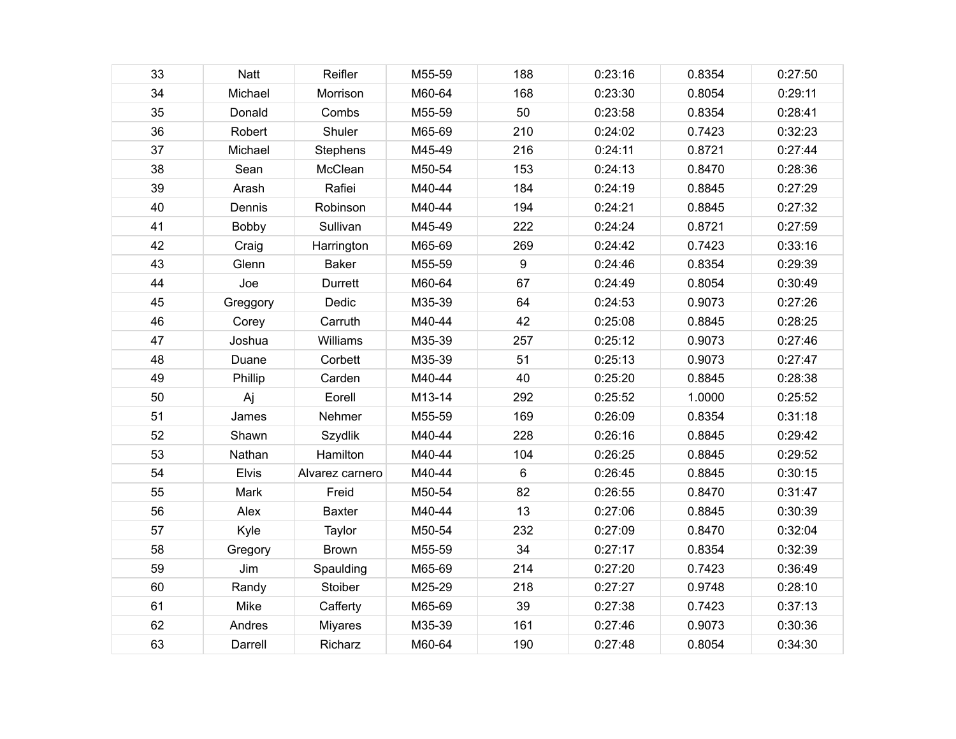| 33 | Natt         | Reifler         | M55-59 | 188     | 0:23:16 | 0.8354 | 0:27:50 |
|----|--------------|-----------------|--------|---------|---------|--------|---------|
| 34 | Michael      | Morrison        | M60-64 | 168     | 0:23:30 | 0.8054 | 0:29:11 |
| 35 | Donald       | Combs           | M55-59 | 50      | 0:23:58 | 0.8354 | 0:28:41 |
| 36 | Robert       | Shuler          | M65-69 | 210     | 0:24:02 | 0.7423 | 0:32:23 |
| 37 | Michael      | Stephens        | M45-49 | 216     | 0:24:11 | 0.8721 | 0:27:44 |
| 38 | Sean         | McClean         | M50-54 | 153     | 0:24:13 | 0.8470 | 0:28:36 |
| 39 | Arash        | Rafiei          | M40-44 | 184     | 0:24:19 | 0.8845 | 0:27:29 |
| 40 | Dennis       | Robinson        | M40-44 | 194     | 0:24:21 | 0.8845 | 0:27:32 |
| 41 | Bobby        | Sullivan        | M45-49 | 222     | 0:24:24 | 0.8721 | 0:27:59 |
| 42 | Craig        | Harrington      | M65-69 | 269     | 0:24:42 | 0.7423 | 0:33:16 |
| 43 | Glenn        | <b>Baker</b>    | M55-59 | 9       | 0:24:46 | 0.8354 | 0:29:39 |
| 44 | Joe          | Durrett         | M60-64 | 67      | 0:24:49 | 0.8054 | 0:30:49 |
| 45 | Greggory     | Dedic           | M35-39 | 64      | 0:24:53 | 0.9073 | 0:27:26 |
| 46 | Corey        | Carruth         | M40-44 | 42      | 0:25:08 | 0.8845 | 0:28:25 |
| 47 | Joshua       | Williams        | M35-39 | 257     | 0:25:12 | 0.9073 | 0:27:46 |
| 48 | Duane        | Corbett         | M35-39 | 51      | 0:25:13 | 0.9073 | 0:27:47 |
| 49 | Phillip      | Carden          | M40-44 | 40      | 0:25:20 | 0.8845 | 0:28:38 |
| 50 | Aj           | Eorell          | M13-14 | 292     | 0:25:52 | 1.0000 | 0:25:52 |
| 51 | James        | Nehmer          | M55-59 | 169     | 0:26:09 | 0.8354 | 0:31:18 |
| 52 | Shawn        | Szydlik         | M40-44 | 228     | 0:26:16 | 0.8845 | 0:29:42 |
| 53 | Nathan       | Hamilton        | M40-44 | 104     | 0:26:25 | 0.8845 | 0:29:52 |
| 54 | <b>Elvis</b> | Alvarez carnero | M40-44 | $\,6\,$ | 0:26:45 | 0.8845 | 0:30:15 |
| 55 | Mark         | Freid           | M50-54 | 82      | 0:26:55 | 0.8470 | 0:31:47 |
| 56 | Alex         | <b>Baxter</b>   | M40-44 | 13      | 0:27:06 | 0.8845 | 0:30:39 |
| 57 | Kyle         | Taylor          | M50-54 | 232     | 0:27:09 | 0.8470 | 0:32:04 |
| 58 | Gregory      | <b>Brown</b>    | M55-59 | 34      | 0:27:17 | 0.8354 | 0:32:39 |
| 59 | Jim          | Spaulding       | M65-69 | 214     | 0:27:20 | 0.7423 | 0:36:49 |
| 60 | Randy        | Stoiber         | M25-29 | 218     | 0:27:27 | 0.9748 | 0:28:10 |
| 61 | Mike         | Cafferty        | M65-69 | 39      | 0:27:38 | 0.7423 | 0:37:13 |
| 62 | Andres       | Miyares         | M35-39 | 161     | 0:27:46 | 0.9073 | 0:30:36 |
| 63 | Darrell      | Richarz         | M60-64 | 190     | 0:27:48 | 0.8054 | 0:34:30 |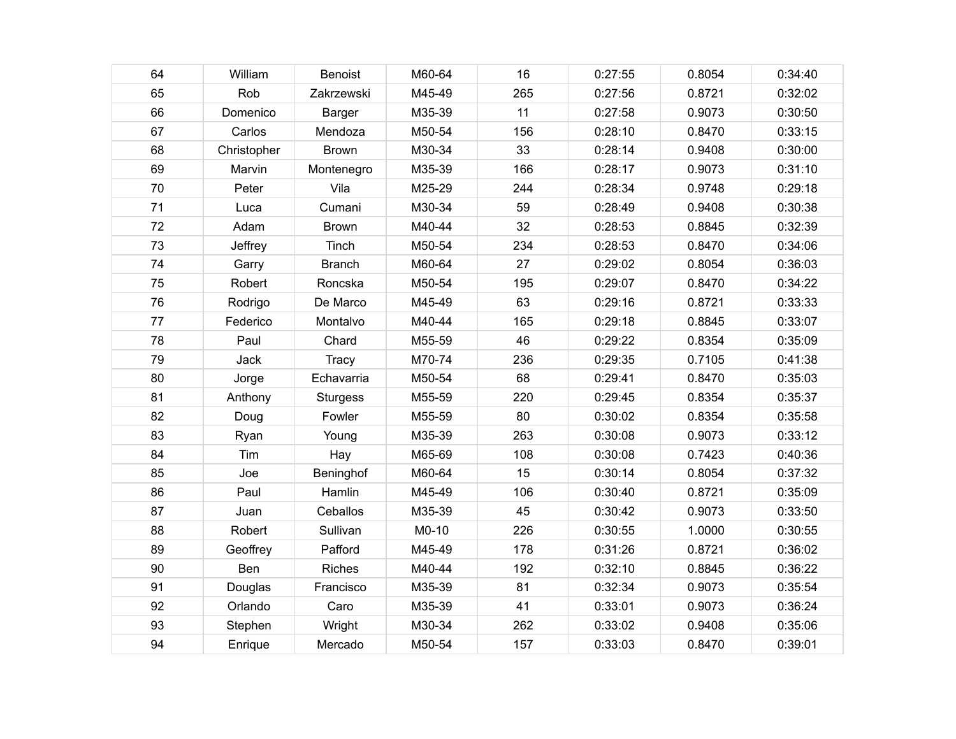| 64 | William     | <b>Benoist</b>  | M60-64 | 16  | 0:27:55 | 0.8054 | 0:34:40 |
|----|-------------|-----------------|--------|-----|---------|--------|---------|
| 65 | Rob         | Zakrzewski      | M45-49 | 265 | 0:27:56 | 0.8721 | 0:32:02 |
| 66 | Domenico    | Barger          | M35-39 | 11  | 0:27:58 | 0.9073 | 0:30:50 |
| 67 | Carlos      | Mendoza         | M50-54 | 156 | 0:28:10 | 0.8470 | 0:33:15 |
| 68 | Christopher | <b>Brown</b>    | M30-34 | 33  | 0:28:14 | 0.9408 | 0:30:00 |
| 69 | Marvin      | Montenegro      | M35-39 | 166 | 0:28:17 | 0.9073 | 0:31:10 |
| 70 | Peter       | Vila            | M25-29 | 244 | 0:28:34 | 0.9748 | 0:29:18 |
| 71 | Luca        | Cumani          | M30-34 | 59  | 0:28:49 | 0.9408 | 0:30:38 |
| 72 | Adam        | <b>Brown</b>    | M40-44 | 32  | 0:28:53 | 0.8845 | 0:32:39 |
| 73 | Jeffrey     | Tinch           | M50-54 | 234 | 0:28:53 | 0.8470 | 0:34:06 |
| 74 | Garry       | <b>Branch</b>   | M60-64 | 27  | 0:29:02 | 0.8054 | 0:36:03 |
| 75 | Robert      | Roncska         | M50-54 | 195 | 0:29:07 | 0.8470 | 0:34:22 |
| 76 | Rodrigo     | De Marco        | M45-49 | 63  | 0:29:16 | 0.8721 | 0:33:33 |
| 77 | Federico    | Montalvo        | M40-44 | 165 | 0:29:18 | 0.8845 | 0:33:07 |
| 78 | Paul        | Chard           | M55-59 | 46  | 0:29:22 | 0.8354 | 0:35:09 |
| 79 | <b>Jack</b> | <b>Tracy</b>    | M70-74 | 236 | 0:29:35 | 0.7105 | 0:41:38 |
| 80 | Jorge       | Echavarria      | M50-54 | 68  | 0:29:41 | 0.8470 | 0:35:03 |
| 81 | Anthony     | <b>Sturgess</b> | M55-59 | 220 | 0:29:45 | 0.8354 | 0:35:37 |
| 82 | Doug        | Fowler          | M55-59 | 80  | 0:30:02 | 0.8354 | 0:35:58 |
| 83 | Ryan        | Young           | M35-39 | 263 | 0:30:08 | 0.9073 | 0:33:12 |
| 84 | Tim         | Hay             | M65-69 | 108 | 0:30:08 | 0.7423 | 0:40:36 |
| 85 | Joe         | Beninghof       | M60-64 | 15  | 0:30:14 | 0.8054 | 0:37:32 |
| 86 | Paul        | Hamlin          | M45-49 | 106 | 0:30:40 | 0.8721 | 0:35:09 |
| 87 | Juan        | Ceballos        | M35-39 | 45  | 0:30:42 | 0.9073 | 0:33:50 |
| 88 | Robert      | Sullivan        | M0-10  | 226 | 0:30:55 | 1.0000 | 0:30:55 |
| 89 | Geoffrey    | Pafford         | M45-49 | 178 | 0:31:26 | 0.8721 | 0:36:02 |
| 90 | Ben         | Riches          | M40-44 | 192 | 0:32:10 | 0.8845 | 0:36:22 |
| 91 | Douglas     | Francisco       | M35-39 | 81  | 0:32:34 | 0.9073 | 0:35:54 |
| 92 | Orlando     | Caro            | M35-39 | 41  | 0:33:01 | 0.9073 | 0:36:24 |
| 93 | Stephen     | Wright          | M30-34 | 262 | 0:33:02 | 0.9408 | 0:35:06 |
| 94 | Enrique     | Mercado         | M50-54 | 157 | 0:33:03 | 0.8470 | 0:39:01 |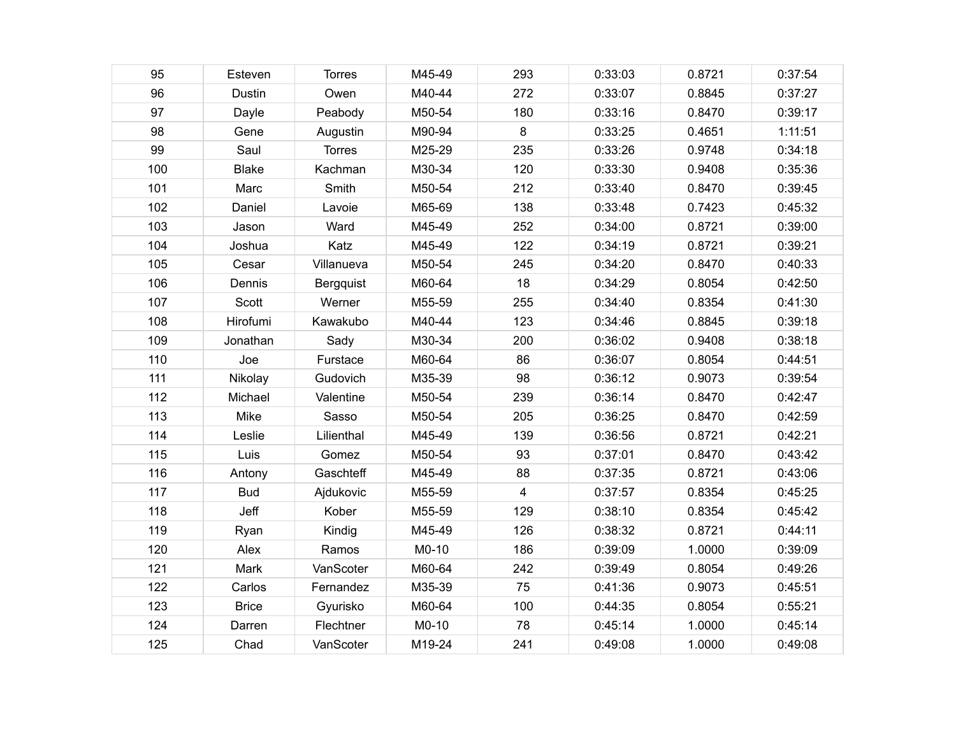| 95  | Esteven       | <b>Torres</b> | M45-49 | 293 | 0:33:03 | 0.8721 | 0:37:54 |
|-----|---------------|---------------|--------|-----|---------|--------|---------|
| 96  | <b>Dustin</b> | Owen          | M40-44 | 272 | 0:33:07 | 0.8845 | 0:37:27 |
| 97  | Dayle         | Peabody       | M50-54 | 180 | 0:33:16 | 0.8470 | 0:39:17 |
| 98  | Gene          | Augustin      | M90-94 | 8   | 0:33:25 | 0.4651 | 1:11:51 |
| 99  | Saul          | <b>Torres</b> | M25-29 | 235 | 0:33:26 | 0.9748 | 0:34:18 |
| 100 | <b>Blake</b>  | Kachman       | M30-34 | 120 | 0:33:30 | 0.9408 | 0:35:36 |
| 101 | Marc          | Smith         | M50-54 | 212 | 0:33:40 | 0.8470 | 0:39:45 |
| 102 | Daniel        | Lavoie        | M65-69 | 138 | 0:33:48 | 0.7423 | 0:45:32 |
| 103 | Jason         | Ward          | M45-49 | 252 | 0:34:00 | 0.8721 | 0:39:00 |
| 104 | Joshua        | Katz          | M45-49 | 122 | 0:34:19 | 0.8721 | 0:39:21 |
| 105 | Cesar         | Villanueva    | M50-54 | 245 | 0:34:20 | 0.8470 | 0:40:33 |
| 106 | Dennis        | Bergquist     | M60-64 | 18  | 0:34:29 | 0.8054 | 0:42:50 |
| 107 | Scott         | Werner        | M55-59 | 255 | 0:34:40 | 0.8354 | 0:41:30 |
| 108 | Hirofumi      | Kawakubo      | M40-44 | 123 | 0:34:46 | 0.8845 | 0:39:18 |
| 109 | Jonathan      | Sady          | M30-34 | 200 | 0:36:02 | 0.9408 | 0:38:18 |
| 110 | Joe           | Furstace      | M60-64 | 86  | 0:36:07 | 0.8054 | 0:44:51 |
| 111 | Nikolay       | Gudovich      | M35-39 | 98  | 0:36:12 | 0.9073 | 0:39:54 |
| 112 | Michael       | Valentine     | M50-54 | 239 | 0:36:14 | 0.8470 | 0:42:47 |
| 113 | Mike          | Sasso         | M50-54 | 205 | 0:36:25 | 0.8470 | 0:42:59 |
| 114 | Leslie        | Lilienthal    | M45-49 | 139 | 0:36:56 | 0.8721 | 0:42:21 |
| 115 | Luis          | Gomez         | M50-54 | 93  | 0:37:01 | 0.8470 | 0:43:42 |
| 116 | Antony        | Gaschteff     | M45-49 | 88  | 0:37:35 | 0.8721 | 0:43:06 |
| 117 | <b>Bud</b>    | Ajdukovic     | M55-59 | 4   | 0:37:57 | 0.8354 | 0:45:25 |
| 118 | Jeff          | Kober         | M55-59 | 129 | 0:38:10 | 0.8354 | 0:45:42 |
| 119 | Ryan          | Kindig        | M45-49 | 126 | 0:38:32 | 0.8721 | 0:44:11 |
| 120 | Alex          | Ramos         | M0-10  | 186 | 0:39:09 | 1.0000 | 0:39:09 |
| 121 | Mark          | VanScoter     | M60-64 | 242 | 0:39:49 | 0.8054 | 0:49:26 |
| 122 | Carlos        | Fernandez     | M35-39 | 75  | 0:41:36 | 0.9073 | 0:45:51 |
| 123 | <b>Brice</b>  | Gyurisko      | M60-64 | 100 | 0:44:35 | 0.8054 | 0:55:21 |
| 124 | Darren        | Flechtner     | M0-10  | 78  | 0:45:14 | 1.0000 | 0:45:14 |
| 125 | Chad          | VanScoter     | M19-24 | 241 | 0:49:08 | 1.0000 | 0:49:08 |